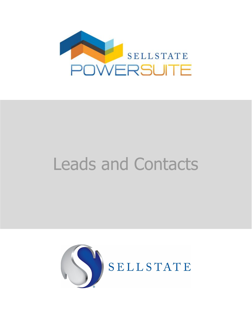

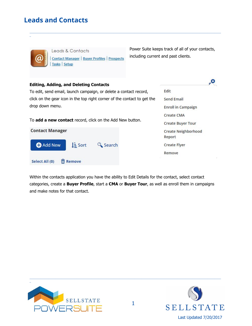

\_

Leads & Contacts Contact Manager | Buyer Profiles | Prospects Tasks Setup

Power Suite keeps track of all of your contacts, including current and past clients.

# **Editing, Adding, and Deleting Contacts**

To edit, send email, launch campaign, or delete a contact record, click on the gear icon in the top right corner of the contact to get the drop down menu.

To **add a new contact** record, click on the Add New button.



| Fdit                          |  |
|-------------------------------|--|
| <b>Send Email</b>             |  |
| <b>Enroll in Campaign</b>     |  |
| Create CMA                    |  |
| <b>Create Buyer Tour</b>      |  |
| Create Neighborhood<br>Report |  |
| Create Flyer                  |  |
| Remove                        |  |

Within the contacts application you have the ability to Edit Details for the contact, select contact categories, create a **Buyer Profile**, start a **CMA** or **Buyer Tour**, as well as enroll them in campaigns and make notes for that contact.

\_\_\_\_\_\_\_\_\_\_\_\_\_\_\_\_\_\_\_\_\_\_\_\_\_\_\_\_\_\_\_\_\_\_\_\_\_\_\_\_\_\_\_\_\_\_\_\_\_\_\_\_\_\_\_\_\_\_\_\_\_\_\_\_\_\_\_\_\_\_\_\_\_\_\_\_\_\_\_\_\_\_\_\_\_\_\_\_\_\_\_\_\_\_\_\_\_\_\_\_\_\_\_\_\_\_\_\_\_\_\_\_\_\_\_\_\_\_\_\_\_\_\_\_\_\_\_\_\_\_\_\_\_\_\_\_\_\_\_\_\_\_





\_\_\_\_\_\_\_\_\_\_\_\_\_\_\_\_\_\_\_\_\_\_\_\_\_\_\_\_\_\_\_\_\_\_\_\_\_\_\_\_\_\_\_\_\_\_\_\_\_\_\_\_\_\_\_\_\_\_\_\_\_\_\_\_\_\_\_\_\_\_\_\_\_\_\_\_\_\_\_\_\_\_\_\_\_\_\_\_\_\_\_\_\_\_\_\_\_\_\_\_\_\_\_\_\_\_\_\_\_\_\_\_\_\_\_\_\_\_\_\_\_\_\_\_\_\_\_\_\_\_\_\_\_\_\_\_\_\_\_\_\_\_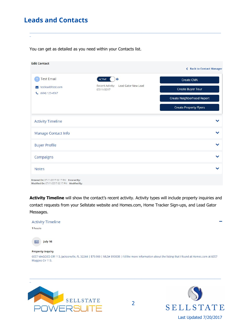\_

You can get as detailed as you need within your Contacts list.

| <b>Create CMA</b><br><b>Create Buyer Tour</b><br><b>Create Neighborhood Report</b> |
|------------------------------------------------------------------------------------|
| <b>Create Property Flyers</b>                                                      |
|                                                                                    |
|                                                                                    |
|                                                                                    |
|                                                                                    |
|                                                                                    |
|                                                                                    |

\_\_\_\_\_\_\_\_\_\_\_\_\_\_\_\_\_\_\_\_\_\_\_\_\_\_\_\_\_\_\_\_\_\_\_\_\_\_\_\_\_\_\_\_\_\_\_\_\_\_\_\_\_\_\_\_\_\_\_\_\_\_\_\_\_\_\_\_\_\_\_\_\_\_\_\_\_\_\_\_\_\_\_\_\_\_\_\_\_\_\_\_\_\_\_\_\_\_\_\_\_\_\_\_\_\_\_\_\_\_\_\_\_\_\_\_\_\_\_\_\_\_\_\_\_\_\_\_\_\_\_\_\_\_\_\_\_\_\_\_\_\_

**Activity Timeline** will show the contact's recent activity. Activity types will include property inquiries and contact requests from your Sellstate website and Homes.com, Home Tracker Sign-ups, and Lead Gator Messages.



\_\_\_\_\_\_\_\_\_\_\_\_\_\_\_\_\_\_\_\_\_\_\_\_\_\_\_\_\_\_\_\_\_\_\_\_\_\_\_\_\_\_\_\_\_\_\_\_\_\_\_\_\_\_\_\_\_\_\_\_\_\_\_\_\_\_\_\_\_\_\_\_\_\_\_\_\_\_\_\_\_\_\_\_\_\_\_\_\_\_\_\_\_\_\_\_\_\_\_\_\_\_\_\_\_\_\_\_\_\_\_\_\_\_\_\_\_\_\_\_\_\_\_\_\_\_\_\_\_\_\_\_\_\_\_\_\_\_\_\_\_\_



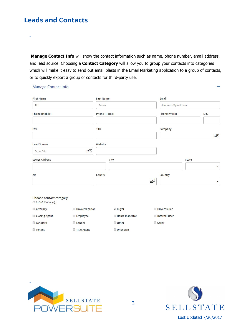Manage Contact Info

\_

**Manage Contact Info** will show the contact information such as name, phone number, email address, and lead source. Choosing a **Contact Category** will allow you to group your contacts into categories which will make it easy to send out email blasts in the Email Marketing application to a group of contacts, or to quickly export a group of contacts for third-party use.

\_\_\_\_\_\_\_\_\_\_\_\_\_\_\_\_\_\_\_\_\_\_\_\_\_\_\_\_\_\_\_\_\_\_\_\_\_\_\_\_\_\_\_\_\_\_\_\_\_\_\_\_\_\_\_\_\_\_\_\_\_\_\_\_\_\_\_\_\_\_\_\_\_\_\_\_\_\_\_\_\_\_\_\_\_\_\_\_\_\_\_\_\_\_\_\_\_\_\_\_\_\_\_\_\_\_\_\_\_\_\_\_\_\_\_\_\_\_\_\_\_\_\_\_\_\_\_\_\_\_\_\_\_\_\_\_\_\_\_\_\_\_

| <b>First Name</b>     | <b>Last Name</b> |                    | Email        |                          |
|-----------------------|------------------|--------------------|--------------|--------------------------|
| Tim                   | Brown            | timbrown@gmail.com |              |                          |
| Phone (Mobile)        | Phone (Home)     |                    | Phone (Work) | Ext.                     |
| Fax                   | Title            |                    | Company      |                          |
|                       |                  |                    |              | $E^{\alpha^*}$           |
| <b>Lead Source</b>    | Website          |                    |              |                          |
| Agent Site            | $E^{Q^*}$        |                    |              |                          |
| <b>Street Address</b> | City             |                    |              | State                    |
|                       |                  |                    |              | $\overline{\phantom{a}}$ |
| Zip                   | County           |                    | Country      |                          |
|                       |                  | $E^{Q^*}$          |              | $\blacktriangledown$     |

#### Choose contact category (Select all that apply) Attorney □ Broker/Realtor ■ Buyer Closing Agent Employee Home Inspector **Landlord Other** Lender

□ Title Agent



 $\Box$  Tenant



**Buyer/Seller** 

Internal User

Seller

\_\_\_\_\_\_\_\_\_\_\_\_\_\_\_\_\_\_\_\_\_\_\_\_\_\_\_\_\_\_\_\_\_\_\_\_\_\_\_\_\_\_\_\_\_\_\_\_\_\_\_\_\_\_\_\_\_\_\_\_\_\_\_\_\_\_\_\_\_\_\_\_\_\_\_\_\_\_\_\_\_\_\_\_\_\_\_\_\_\_\_\_\_\_\_\_\_\_\_\_\_\_\_\_\_\_\_\_\_\_\_\_\_\_\_\_\_\_\_\_\_\_\_\_\_\_\_\_\_\_\_\_\_\_\_\_\_\_\_\_\_\_

Unknown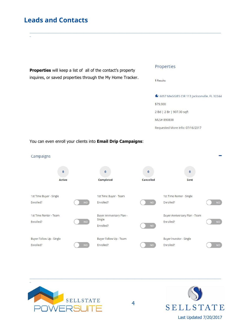\_



\_\_\_\_\_\_\_\_\_\_\_\_\_\_\_\_\_\_\_\_\_\_\_\_\_\_\_\_\_\_\_\_\_\_\_\_\_\_\_\_\_\_\_\_\_\_\_\_\_\_\_\_\_\_\_\_\_\_\_\_\_\_\_\_\_\_\_\_\_\_\_\_\_\_\_\_\_\_\_\_\_\_\_\_\_\_\_\_\_\_\_\_\_\_\_\_\_\_\_\_\_\_\_\_\_\_\_\_\_\_\_\_\_\_\_\_\_\_\_\_\_\_\_\_\_\_\_\_\_\_\_\_\_\_\_\_\_\_\_\_\_\_

#### You can even enroll your clients into **Email Drip Campaigns**: